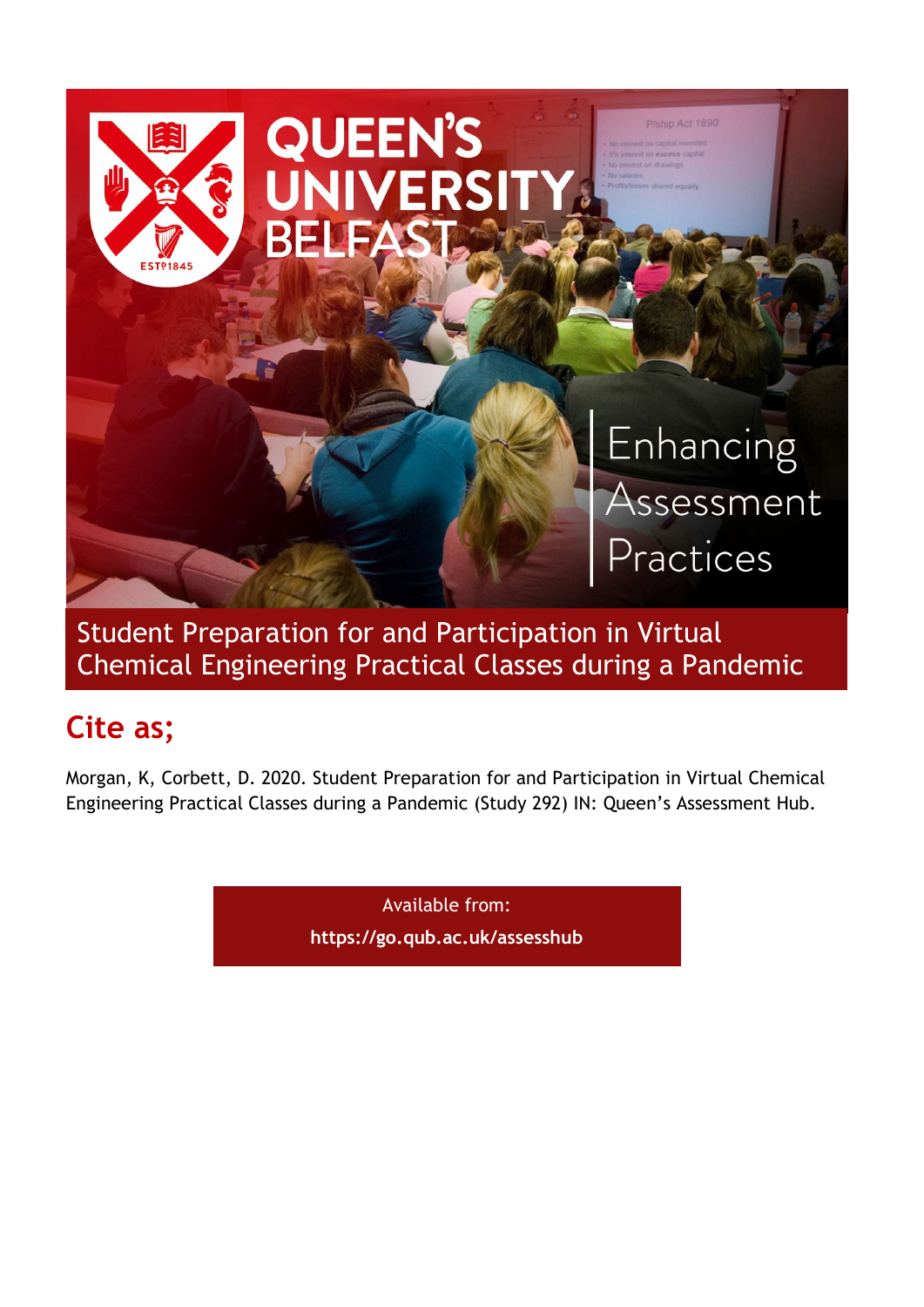

Student Preparation for and Participation in Virtual Chemical Engineering Practical Classes during a Pandemic

# Cite as;

Morgan, K, Corbett, D. 2020. Student Preparation for and Participation in Virtual Chemical Engineering Practical Classes during a Pandemic (Study 292) IN: Queen's Assessment Hub.

> Available from: https://go.qub.ac.uk/assesshub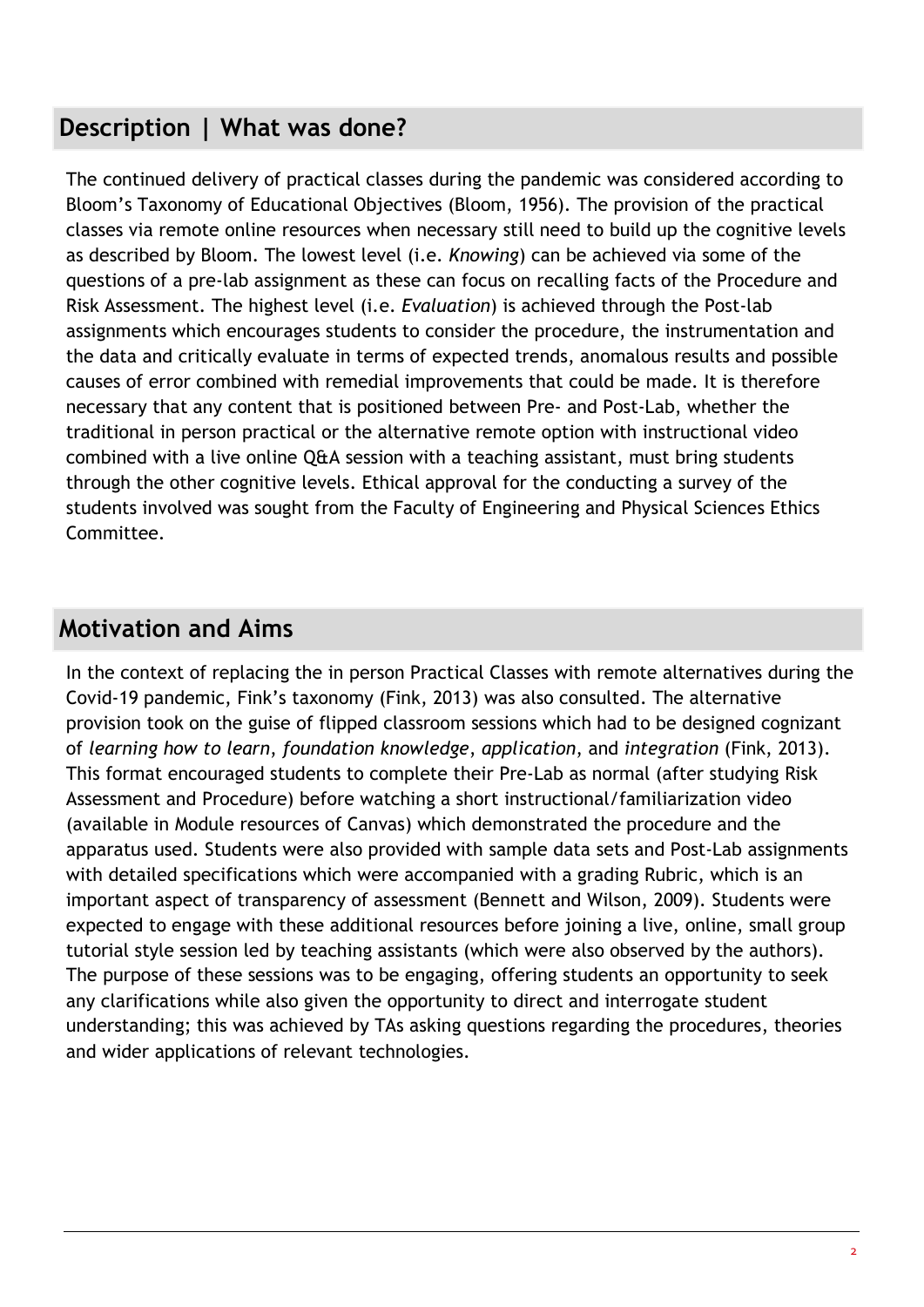# Description | What was done?

The continued delivery of practical classes during the pandemic was considered according to Bloom's Taxonomy of Educational Objectives (Bloom, 1956). The provision of the practical classes via remote online resources when necessary still need to build up the cognitive levels as described by Bloom. The lowest level (i.e. Knowing) can be achieved via some of the questions of a pre-lab assignment as these can focus on recalling facts of the Procedure and Risk Assessment. The highest level (i.e. Evaluation) is achieved through the Post-lab assignments which encourages students to consider the procedure, the instrumentation and the data and critically evaluate in terms of expected trends, anomalous results and possible causes of error combined with remedial improvements that could be made. It is therefore necessary that any content that is positioned between Pre- and Post-Lab, whether the traditional in person practical or the alternative remote option with instructional video combined with a live online Q&A session with a teaching assistant, must bring students through the other cognitive levels. Ethical approval for the conducting a survey of the students involved was sought from the Faculty of Engineering and Physical Sciences Ethics Committee.

### Motivation and Aims

In the context of replacing the in person Practical Classes with remote alternatives during the Covid-19 pandemic, Fink's taxonomy (Fink, 2013) was also consulted. The alternative provision took on the guise of flipped classroom sessions which had to be designed cognizant of learning how to learn, foundation knowledge, application, and integration (Fink, 2013). This format encouraged students to complete their Pre-Lab as normal (after studying Risk Assessment and Procedure) before watching a short instructional/familiarization video (available in Module resources of Canvas) which demonstrated the procedure and the apparatus used. Students were also provided with sample data sets and Post-Lab assignments with detailed specifications which were accompanied with a grading Rubric, which is an important aspect of transparency of assessment (Bennett and Wilson, 2009). Students were expected to engage with these additional resources before joining a live, online, small group tutorial style session led by teaching assistants (which were also observed by the authors). The purpose of these sessions was to be engaging, offering students an opportunity to seek any clarifications while also given the opportunity to direct and interrogate student understanding; this was achieved by TAs asking questions regarding the procedures, theories and wider applications of relevant technologies.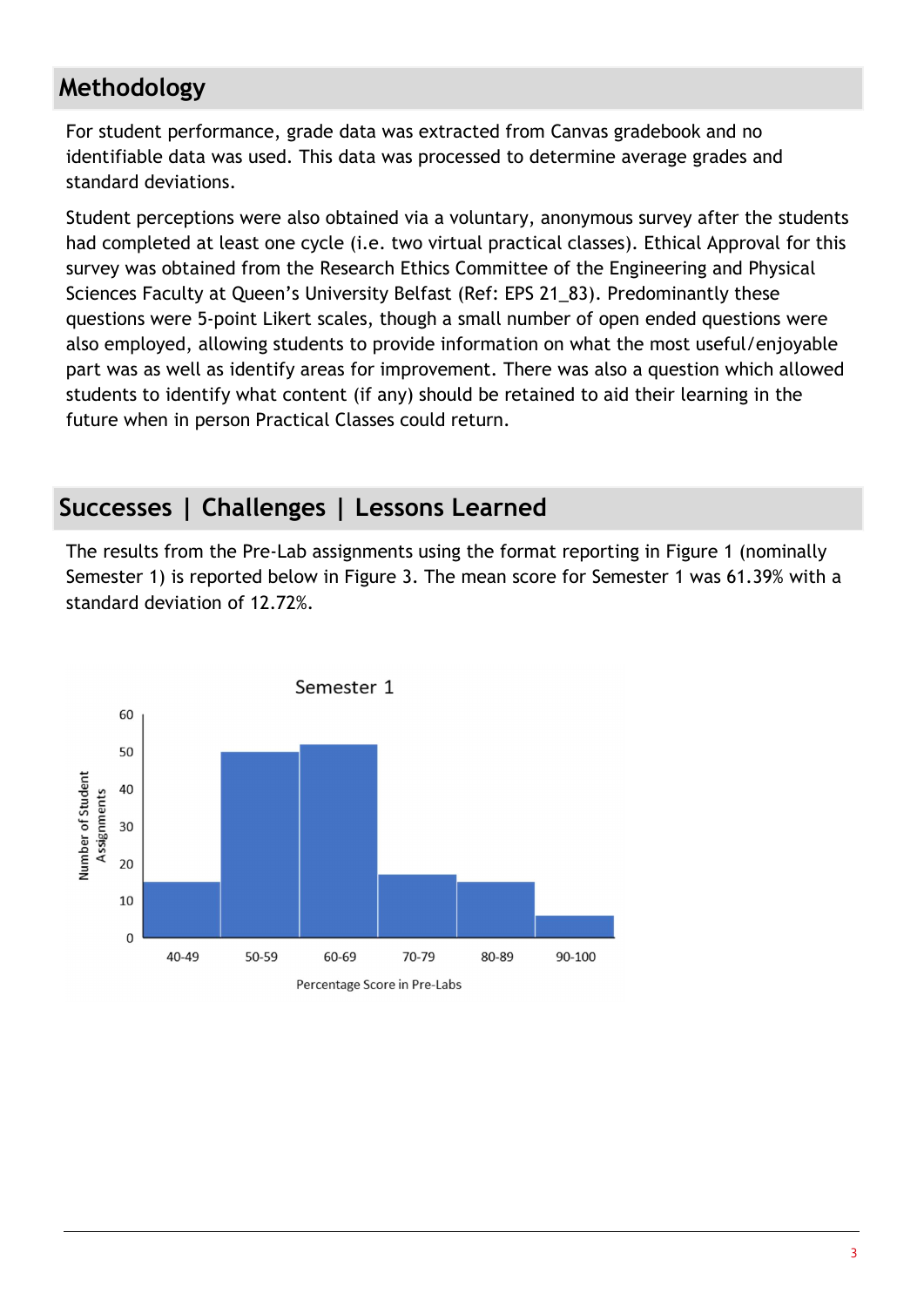# Methodology

For student performance, grade data was extracted from Canvas gradebook and no identifiable data was used. This data was processed to determine average grades and standard deviations.

Student perceptions were also obtained via a voluntary, anonymous survey after the students had completed at least one cycle (i.e. two virtual practical classes). Ethical Approval for this survey was obtained from the Research Ethics Committee of the Engineering and Physical Sciences Faculty at Queen's University Belfast (Ref: EPS 21\_83). Predominantly these questions were 5-point Likert scales, though a small number of open ended questions were also employed, allowing students to provide information on what the most useful/enjoyable part was as well as identify areas for improvement. There was also a question which allowed students to identify what content (if any) should be retained to aid their learning in the future when in person Practical Classes could return.

### Successes | Challenges | Lessons Learned

The results from the Pre-Lab assignments using the format reporting in Figure 1 (nominally Semester 1) is reported below in Figure 3. The mean score for Semester 1 was 61.39% with a standard deviation of 12.72%.

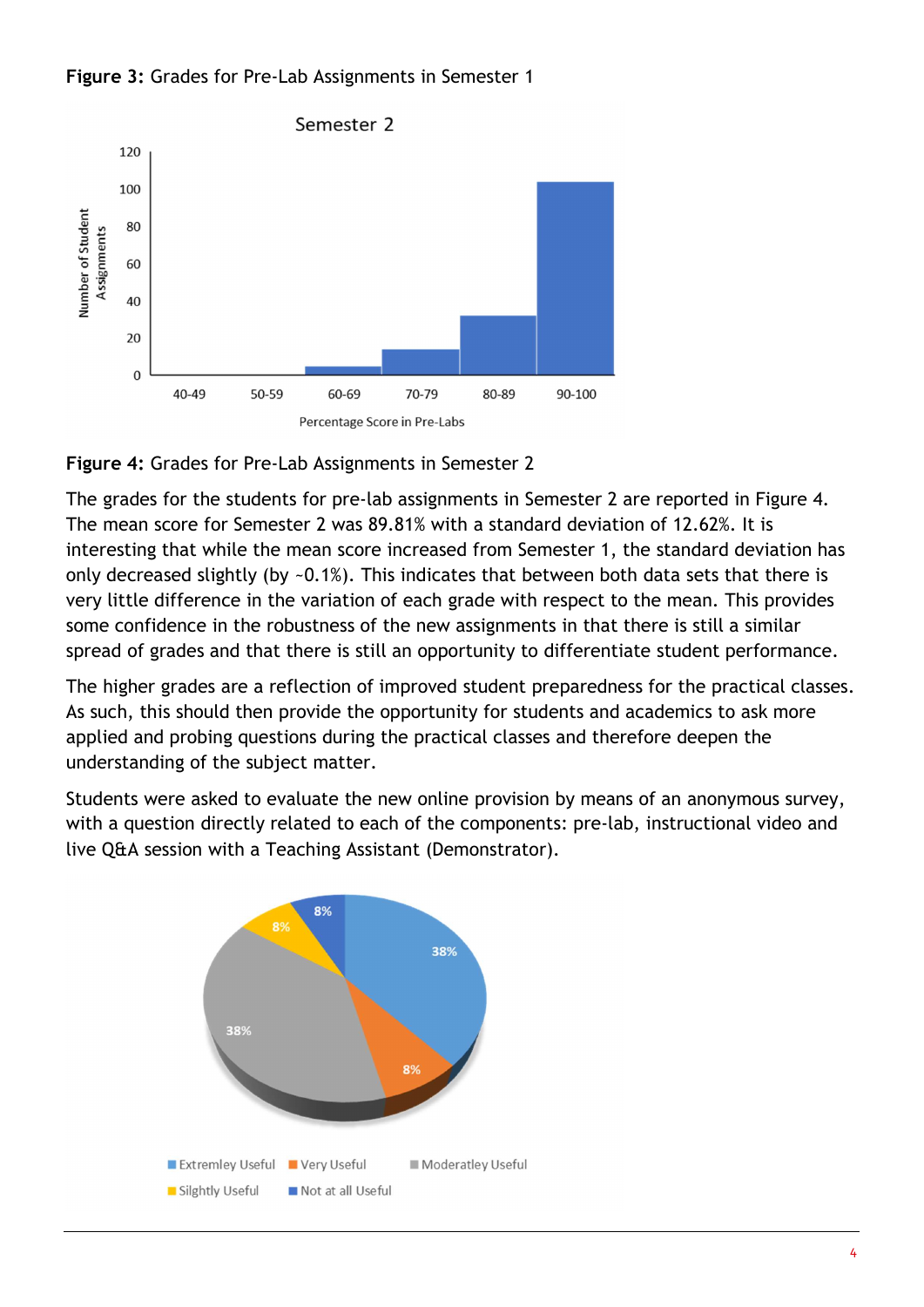



Figure 4: Grades for Pre-Lab Assignments in Semester 2

The grades for the students for pre-lab assignments in Semester 2 are reported in Figure 4. The mean score for Semester 2 was 89.81% with a standard deviation of 12.62%. It is interesting that while the mean score increased from Semester 1, the standard deviation has only decreased slightly (by ~0.1%). This indicates that between both data sets that there is very little difference in the variation of each grade with respect to the mean. This provides some confidence in the robustness of the new assignments in that there is still a similar spread of grades and that there is still an opportunity to differentiate student performance.

The higher grades are a reflection of improved student preparedness for the practical classes. As such, this should then provide the opportunity for students and academics to ask more applied and probing questions during the practical classes and therefore deepen the understanding of the subject matter.

Students were asked to evaluate the new online provision by means of an anonymous survey, with a question directly related to each of the components: pre-lab, instructional video and live Q&A session with a Teaching Assistant (Demonstrator).

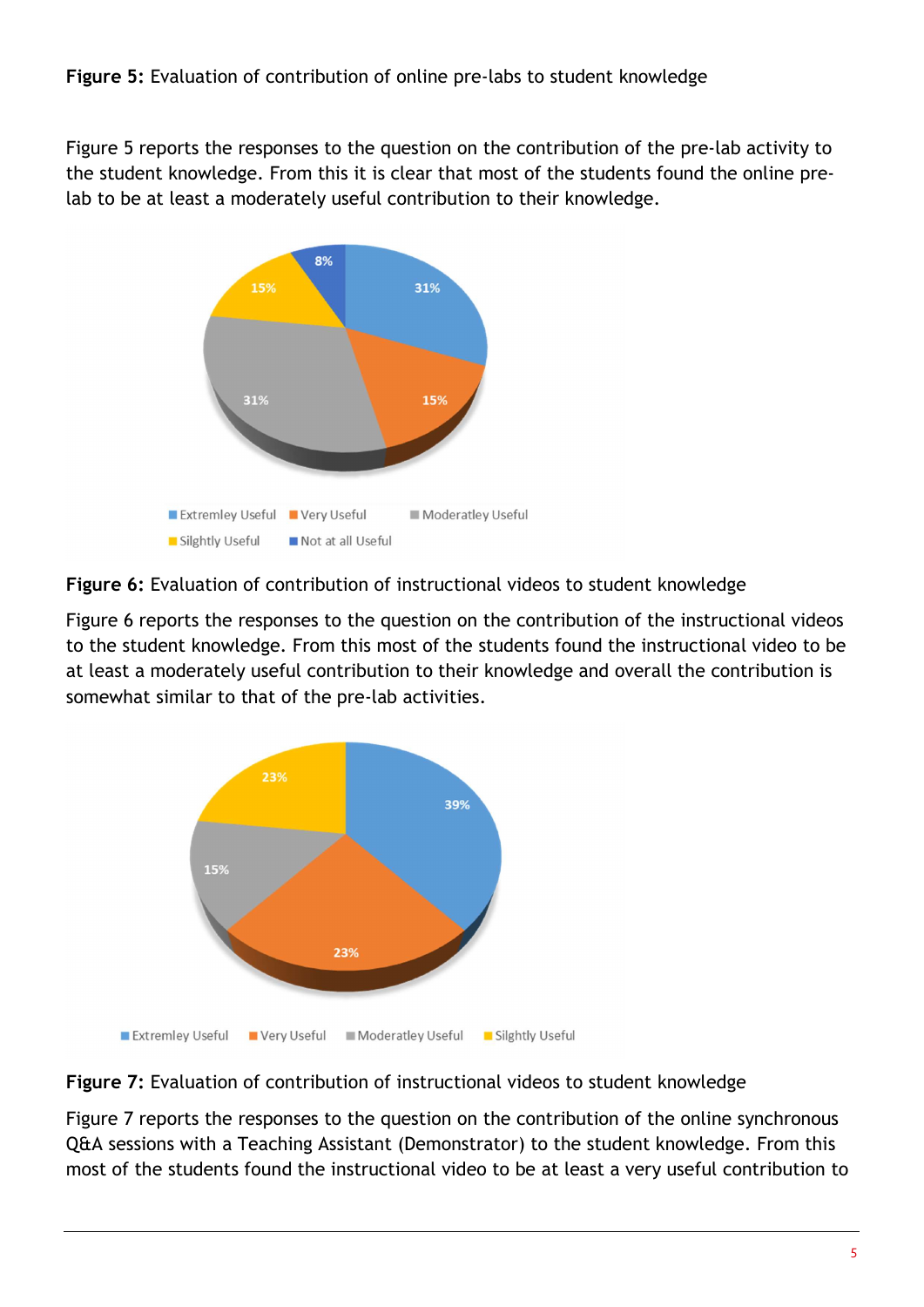Figure 5 reports the responses to the question on the contribution of the pre-lab activity to the student knowledge. From this it is clear that most of the students found the online prelab to be at least a moderately useful contribution to their knowledge.



Figure 6: Evaluation of contribution of instructional videos to student knowledge

Figure 6 reports the responses to the question on the contribution of the instructional videos to the student knowledge. From this most of the students found the instructional video to be at least a moderately useful contribution to their knowledge and overall the contribution is somewhat similar to that of the pre-lab activities.



### Figure 7: Evaluation of contribution of instructional videos to student knowledge

Figure 7 reports the responses to the question on the contribution of the online synchronous Q&A sessions with a Teaching Assistant (Demonstrator) to the student knowledge. From this most of the students found the instructional video to be at least a very useful contribution to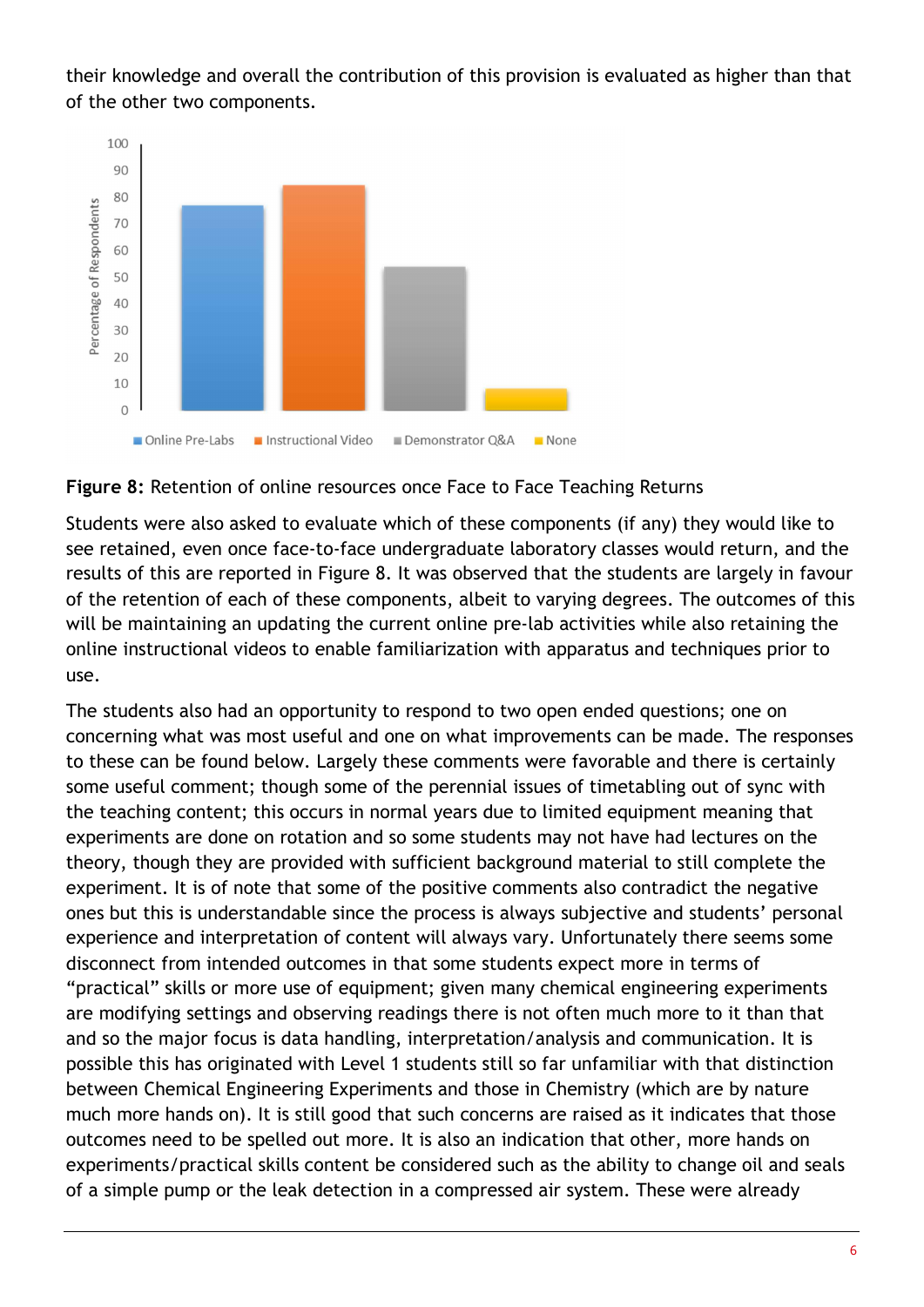their knowledge and overall the contribution of this provision is evaluated as higher than that of the other two components.



#### Figure 8: Retention of online resources once Face to Face Teaching Returns

Students were also asked to evaluate which of these components (if any) they would like to see retained, even once face-to-face undergraduate laboratory classes would return, and the results of this are reported in Figure 8. It was observed that the students are largely in favour of the retention of each of these components, albeit to varying degrees. The outcomes of this will be maintaining an updating the current online pre-lab activities while also retaining the online instructional videos to enable familiarization with apparatus and techniques prior to use.

The students also had an opportunity to respond to two open ended questions; one on concerning what was most useful and one on what improvements can be made. The responses to these can be found below. Largely these comments were favorable and there is certainly some useful comment; though some of the perennial issues of timetabling out of sync with the teaching content; this occurs in normal years due to limited equipment meaning that experiments are done on rotation and so some students may not have had lectures on the theory, though they are provided with sufficient background material to still complete the experiment. It is of note that some of the positive comments also contradict the negative ones but this is understandable since the process is always subjective and students' personal experience and interpretation of content will always vary. Unfortunately there seems some disconnect from intended outcomes in that some students expect more in terms of "practical" skills or more use of equipment; given many chemical engineering experiments are modifying settings and observing readings there is not often much more to it than that and so the major focus is data handling, interpretation/analysis and communication. It is possible this has originated with Level 1 students still so far unfamiliar with that distinction between Chemical Engineering Experiments and those in Chemistry (which are by nature much more hands on). It is still good that such concerns are raised as it indicates that those outcomes need to be spelled out more. It is also an indication that other, more hands on experiments/practical skills content be considered such as the ability to change oil and seals of a simple pump or the leak detection in a compressed air system. These were already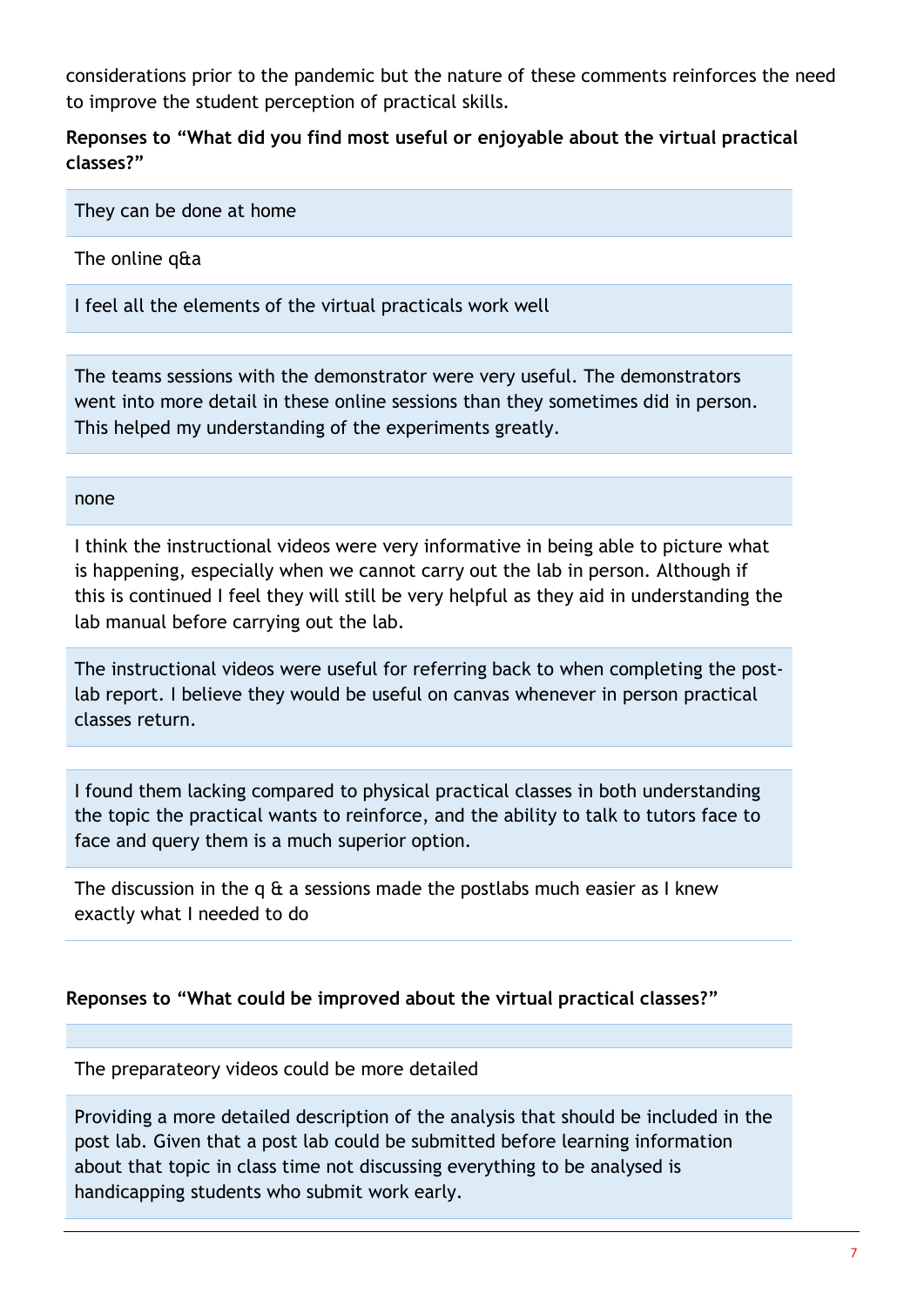considerations prior to the pandemic but the nature of these comments reinforces the need to improve the student perception of practical skills.

Reponses to "What did you find most useful or enjoyable about the virtual practical classes?"

They can be done at home

The online q&a

I feel all the elements of the virtual practicals work well

The teams sessions with the demonstrator were very useful. The demonstrators went into more detail in these online sessions than they sometimes did in person. This helped my understanding of the experiments greatly.

#### none

I think the instructional videos were very informative in being able to picture what is happening, especially when we cannot carry out the lab in person. Although if this is continued I feel they will still be very helpful as they aid in understanding the lab manual before carrying out the lab.

The instructional videos were useful for referring back to when completing the postlab report. I believe they would be useful on canvas whenever in person practical classes return.

I found them lacking compared to physical practical classes in both understanding the topic the practical wants to reinforce, and the ability to talk to tutors face to face and query them is a much superior option.

The discussion in the q  $\alpha$  a sessions made the postlabs much easier as I knew exactly what I needed to do

### Reponses to "What could be improved about the virtual practical classes?"

The preparateory videos could be more detailed

Providing a more detailed description of the analysis that should be included in the post lab. Given that a post lab could be submitted before learning information about that topic in class time not discussing everything to be analysed is handicapping students who submit work early.